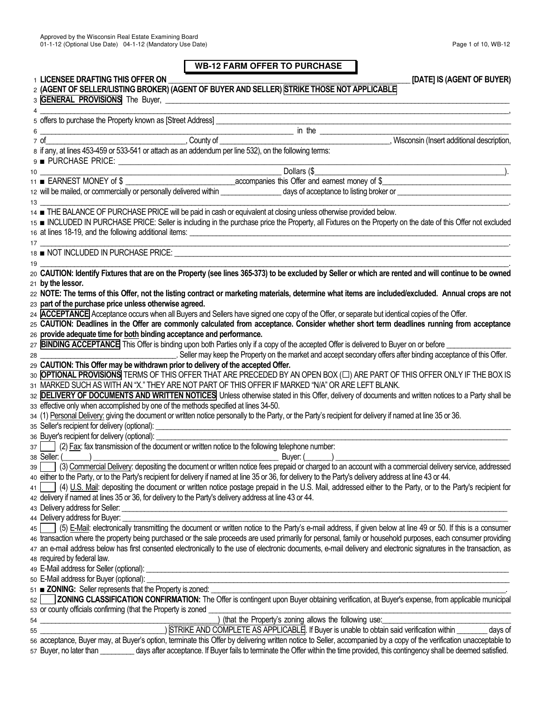# **WB-12 FARM OFFER TO PURCHASE**

|      | [DATE] IS (AGENT OF BUYER)<br>1 LICENSEE DRAFTING THIS OFFER ON                                                                                                                                                                                  |
|------|--------------------------------------------------------------------------------------------------------------------------------------------------------------------------------------------------------------------------------------------------|
|      | 2 (AGENT OF SELLER/LISTING BROKER) (AGENT OF BUYER AND SELLER) STRIKE THOSE NOT APPLICABLE                                                                                                                                                       |
|      |                                                                                                                                                                                                                                                  |
|      | 5 offers to purchase the Property known as [Street Address] ______________                                                                                                                                                                       |
|      | $6 \overbrace{\rule{2.5cm}{0pt}}$                                                                                                                                                                                                                |
|      | 8 if any, at lines 453-459 or 533-541 or attach as an addendum per line 532), on the following terms:<br>9 ■ PURCHASE PRICE:                                                                                                                     |
|      |                                                                                                                                                                                                                                                  |
|      |                                                                                                                                                                                                                                                  |
|      | Dollars (\$                                                                                                                                                                                                                                      |
|      |                                                                                                                                                                                                                                                  |
|      |                                                                                                                                                                                                                                                  |
|      | 14 THE BALANCE OF PURCHASE PRICE will be paid in cash or equivalent at closing unless otherwise provided below.                                                                                                                                  |
|      | 15 INCLUDED IN PURCHASE PRICE: Seller is including in the purchase price the Property, all Fixtures on the Property on the date of this Offer not excluded                                                                                       |
|      |                                                                                                                                                                                                                                                  |
|      | 17                                                                                                                                                                                                                                               |
|      | 18 NOT INCLUDED IN PURCHASE PRICE:                                                                                                                                                                                                               |
|      | $19 \_$                                                                                                                                                                                                                                          |
|      | 20 CAUTION: Identify Fixtures that are on the Property (see lines 365-373) to be excluded by Seller or which are rented and will continue to be owned                                                                                            |
|      | 21 by the lessor.                                                                                                                                                                                                                                |
|      | 22 NOTE: The terms of this Offer, not the listing contract or marketing materials, determine what items are included/excluded. Annual crops are not                                                                                              |
|      | 23 part of the purchase price unless otherwise agreed.<br>24 ACCEPTANCE Acceptance occurs when all Buyers and Sellers have signed one copy of the Offer, or separate but identical copies of the Offer.                                          |
|      | 25 CAUTION: Deadlines in the Offer are commonly calculated from acceptance. Consider whether short term deadlines running from acceptance                                                                                                        |
|      | 26 provide adequate time for both binding acceptance and performance.                                                                                                                                                                            |
|      | 27 <b>BINDING ACCEPTANCE</b> This Offer is binding upon both Parties only if a copy of the accepted Offer is delivered to Buyer on or before                                                                                                     |
|      |                                                                                                                                                                                                                                                  |
|      | 28 <b>CAUTION:</b> This Offer may be withdrawn prior to delivery of the accept of the market and accept secondary offers after binding acceptance of this Offer.<br>29 <b>CAUTION: This Offer may be withdrawn prior to delivery of the </b>     |
|      | 30 <b>OPTIONAL PROVISIONS</b> TERMS OF THIS OFFER THAT ARE PRECEDED BY AN OPEN BOX (□) ARE PART OF THIS OFFER ONLY IF THE BOX IS                                                                                                                 |
|      | 31 MARKED SUCH AS WITH AN "X." THEY ARE NOT PART OF THIS OFFER IF MARKED "N/A" OR ARE LEFT BLANK.                                                                                                                                                |
|      | 32 DELIVERY OF DOCUMENTS AND WRITTEN NOTICES Unless otherwise stated in this Offer, delivery of documents and written notices to a Party shall be                                                                                                |
|      | 33 effective only when accomplished by one of the methods specified at lines 34-50.<br>34 (1) Personal Delivery: giving the document or written notice personally to the Party, or the Party's recipient for delivery if named at line 35 or 36. |
|      |                                                                                                                                                                                                                                                  |
|      | 36 Buyer's recipient for delivery (optional):                                                                                                                                                                                                    |
|      | $37$ (2) Fax: fax transmission of the document or written notice to the following telephone number:                                                                                                                                              |
|      | 38 Seller: (2008)<br><u> 1989 - Johann Barbara, martxa alemaniar a</u><br>Buyer: (________)                                                                                                                                                      |
|      | 39 [10] (3) Commercial Delivery: depositing the document or written notice fees prepaid or charged to an account with a commercial delivery service, addressed                                                                                   |
|      | 40 either to the Party, or to the Party's recipient for delivery if named at line 35 or 36, for delivery to the Party's delivery address at line 43 or 44.                                                                                       |
| 41   | (4) U.S. Mail: depositing the document or written notice postage prepaid in the U.S. Mail, addressed either to the Party, or to the Party's recipient for                                                                                        |
|      | 42 delivery if named at lines 35 or 36, for delivery to the Party's delivery address at line 43 or 44.                                                                                                                                           |
|      | 43 Delivery address for Seller:<br><u> 1980 - Johann Barn, maritan basar masjid a</u>                                                                                                                                                            |
|      | 44 Delivery address for Buyer:<br>(5) E-Mail: electronically transmitting the document or written notice to the Party's e-mail address, if given below at line 49 or 50. If this is a consumer                                                   |
| 45 I | 46 transaction where the property being purchased or the sale proceeds are used primarily for personal, family or household purposes, each consumer providing                                                                                    |
|      | 47 an e-mail address below has first consented electronically to the use of electronic documents, e-mail delivery and electronic signatures in the transaction, as                                                                               |
|      | 48 required by federal law.                                                                                                                                                                                                                      |
|      | 49 E-Mail address for Seller (optional):                                                                                                                                                                                                         |
|      | 50 E-Mail address for Buyer (optional):                                                                                                                                                                                                          |
|      | 51 <b>ZONING:</b> Seller represents that the Property is zoned:                                                                                                                                                                                  |
| 52   | ZONING CLASSIFICATION CONFIRMATION: The Offer is contingent upon Buyer obtaining verification, at Buyer's expense, from applicable municipal                                                                                                     |
|      | 53 or county officials confirming (that the Property is zoned                                                                                                                                                                                    |
|      | (that the Property's zoning allows the following use:                                                                                                                                                                                            |
|      | 56 acceptance, Buyer may, at Buyer's option, terminate this Offer by delivering written notice to Seller, accompanied by a copy of the verification unacceptable to                                                                              |
|      | 57 Buyer, no later than __________ days after acceptance. If Buyer fails to terminate the Offer within the time provided, this contingency shall be deemed satisfied.                                                                            |
|      |                                                                                                                                                                                                                                                  |
|      |                                                                                                                                                                                                                                                  |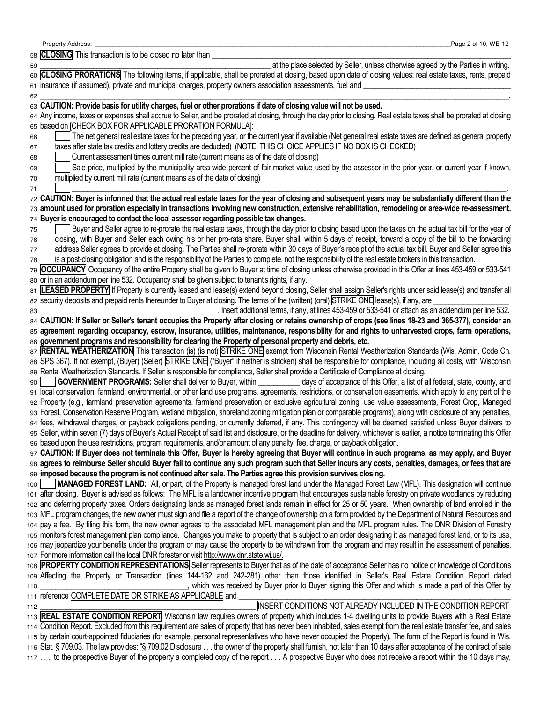|     | 58 CLOSING This transaction is to be closed no later than                                                                                                                   |
|-----|-----------------------------------------------------------------------------------------------------------------------------------------------------------------------------|
| 59  | at the place selected by Seller, unless otherwise agreed by the Parties in writing.                                                                                         |
| 60  | CLOSING PRORATIONS The following items, if applicable, shall be prorated at closing, based upon date of closing values: real estate taxes, rents, prepaid                   |
|     | 61 insurance (if assumed), private and municipal charges, property owners association assessments, fuel and                                                                 |
|     |                                                                                                                                                                             |
| 62  |                                                                                                                                                                             |
|     | 63 CAUTION: Provide basis for utility charges, fuel or other prorations if date of closing value will not be used.                                                          |
|     | 64 Any income, taxes or expenses shall accrue to Seller, and be prorated at closing, through the day prior to closing. Real estate taxes shall be prorated at closing       |
|     | 65 based on [CHECK BOX FOR APPLICABLE PRORATION FORMULA]:                                                                                                                   |
| 66  | The net general real estate taxes for the preceding year, or the current year if available (Net general real estate taxes are defined as general property                   |
| 67  | taxes after state tax credits and lottery credits are deducted) (NOTE: THIS CHOICE APPLIES IF NO BOX IS CHECKED)                                                            |
| 68  | Current assessment times current mill rate (current means as of the date of closing)                                                                                        |
|     |                                                                                                                                                                             |
| 69  | Sale price, multiplied by the municipality area-wide percent of fair market value used by the assessor in the prior year, or current year if known,                         |
| 70  | multiplied by current mill rate (current means as of the date of closing)                                                                                                   |
| 71  |                                                                                                                                                                             |
|     | 72 CAUTION: Buyer is informed that the actual real estate taxes for the year of closing and subsequent years may be substantially different than the                        |
|     | 73 amount used for proration especially in transactions involving new construction, extensive rehabilitation, remodeling or area-wide re-assessment.                        |
|     | 74 Buyer is encouraged to contact the local assessor regarding possible tax changes.                                                                                        |
| 75  | Buyer and Seller agree to re-prorate the real estate taxes, through the day prior to closing based upon the taxes on the actual tax bill for the year of                    |
| 76  | closing, with Buyer and Seller each owing his or her pro-rata share. Buyer shall, within 5 days of receipt, forward a copy of the bill to the forwarding                    |
|     |                                                                                                                                                                             |
| 77  | address Seller agrees to provide at closing. The Parties shall re-prorate within 30 days of Buyer's receipt of the actual tax bill. Buyer and Seller agree this             |
| 78  | is a post-closing obligation and is the responsibility of the Parties to complete, not the responsibility of the real estate brokers in this transaction.                   |
|     | 79 <b>OCCUPANCY</b> Occupancy of the entire Property shall be given to Buyer at time of closing unless otherwise provided in this Offer at lines 453-459 or 533-541         |
|     | so or in an addendum per line 532. Occupancy shall be given subject to tenant's rights, if any.                                                                             |
|     | 81 <b>LEASED PROPERTY</b> If Property is currently leased and lease(s) extend beyond closing, Seller shall assign Seller's rights under said lease(s) and transfer all      |
|     | 82 security deposits and prepaid rents thereunder to Buyer at closing. The terms of the (written) (oral) STRIKE ONE lease(s), if any, are                                   |
| 83  | . Insert additional terms, if any, at lines 453-459 or 533-541 or attach as an addendum per line 532.                                                                       |
|     | 84 CAUTION: If Seller or Seller's tenant occupies the Property after closing or retains ownership of crops (see lines 18-23 and 365-377), consider an                       |
|     | 85 agreement regarding occupancy, escrow, insurance, utilities, maintenance, responsibility for and rights to unharvested crops, farm operations,                           |
|     |                                                                                                                                                                             |
|     | 86 government programs and responsibility for clearing the Property of personal property and debris, etc.                                                                   |
|     | 87 RENTAL WEATHERIZATION This transaction (is) (is not) STRIKE ONE exempt from Wisconsin Rental Weatherization Standards (Wis. Admin. Code Ch.                              |
|     | 88 SPS 367). If not exempt, (Buyer) (Seller) STRIKE ONE ("Buyer" if neither is stricken) shall be responsible for compliance, including all costs, with Wisconsin           |
|     | 89 Rental Weatherization Standards. If Seller is responsible for compliance, Seller shall provide a Certificate of Compliance at closing.                                   |
| 90  | GOVERNMENT PROGRAMS: Seller shall deliver to Buyer, within ___________ days of acceptance of this Offer, a list of all federal, state, county, and                          |
|     | 91 local conservation, farmland, environmental, or other land use programs, agreements, restrictions, or conservation easements, which apply to any part of the             |
|     | 92 Property (e.g., farmland preservation agreements, farmland preservation or exclusive agricultural zoning, use value assessments, Forest Crop, Managed                    |
|     | 93 Forest, Conservation Reserve Program, wetland mitigation, shoreland zoning mitigation plan or comparable programs), along with disclosure of any penalties,              |
|     | 94 fees, withdrawal charges, or payback obligations pending, or currently deferred, if any. This contingency will be deemed satisfied unless Buyer delivers to              |
|     | 95 Seller, within seven (7) days of Buyer's Actual Receipt of said list and disclosure, or the deadline for delivery, whichever is earlier, a notice terminating this Offer |
|     |                                                                                                                                                                             |
|     | 96 based upon the use restrictions, program requirements, and/or amount of any penalty, fee, charge, or payback obligation.                                                 |
|     | 97 CAUTION: If Buyer does not terminate this Offer, Buyer is hereby agreeing that Buyer will continue in such programs, as may apply, and Buyer                             |
|     | 98 agrees to reimburse Seller should Buyer fail to continue any such program such that Seller incurs any costs, penalties, damages, or fees that are                        |
|     | 99 imposed because the program is not continued after sale. The Parties agree this provision survives closing.                                                              |
| 100 | MANAGED FOREST LAND: All, or part, of the Property is managed forest land under the Managed Forest Law (MFL). This designation will continue                                |
|     | 101 after closing. Buyer is advised as follows: The MFL is a landowner incentive program that encourages sustainable forestry on private woodlands by reducing              |
|     | 102 and deferring property taxes. Orders designating lands as managed forest lands remain in effect for 25 or 50 years. When ownership of land enrolled in the              |
|     | 103 MFL program changes, the new owner must sign and file a report of the change of ownership on a form provided by the Department of Natural Resources and                 |
|     | 104 pay a fee. By filing this form, the new owner agrees to the associated MFL management plan and the MFL program rules. The DNR Division of Forestry                      |
|     | 105 monitors forest management plan compliance. Changes you make to property that is subject to an order designating it as managed forest land, or to its use,              |
|     |                                                                                                                                                                             |
|     | 106 may jeopardize your benefits under the program or may cause the property to be withdrawn from the program and may result in the assessment of penalties.                |
|     | 107 For more information call the local DNR forester or visit http://www.dnr.state.wi.us/.                                                                                  |
|     | 108 <b>PROPERTY CONDITION REPRESENTATIONS</b> Seller represents to Buyer that as of the date of acceptance Seller has no notice or knowledge of Conditions                  |
|     | 109 Affecting the Property or Transaction (lines 144-162 and 242-281) other than those identified in Seller's Real Estate Condition Report dated                            |
| 110 | , which was received by Buyer prior to Buyer signing this Offer and which is made a part of this Offer by                                                                   |
|     | 111 reference COMPLETE DATE OR STRIKE AS APPLICABLE and                                                                                                                     |
| 112 | INSERT CONDITIONS NOT ALREADY INCLUDED IN THE CONDITION REPORT                                                                                                              |
|     | 113 REAL ESTATE CONDITION REPORT Wisconsin law requires owners of property which includes 1-4 dwelling units to provide Buyers with a Real Estate                           |
|     | 114 Condition Report. Excluded from this requirement are sales of property that has never been inhabited, sales exempt from the real estate transfer fee, and sales         |
|     | 115 by certain court-appointed fiduciaries (for example, personal representatives who have never occupied the Property). The form of the Report is found in Wis.            |
|     | 116 Stat. § 709.03. The law provides: "§ 709.02 Disclosure the owner of the property shall furnish, not later than 10 days after acceptance of the contract of sale         |
|     | 117 , to the prospective Buyer of the property a completed copy of the report  A prospective Buyer who does not receive a report within the 10 days may,                    |
|     |                                                                                                                                                                             |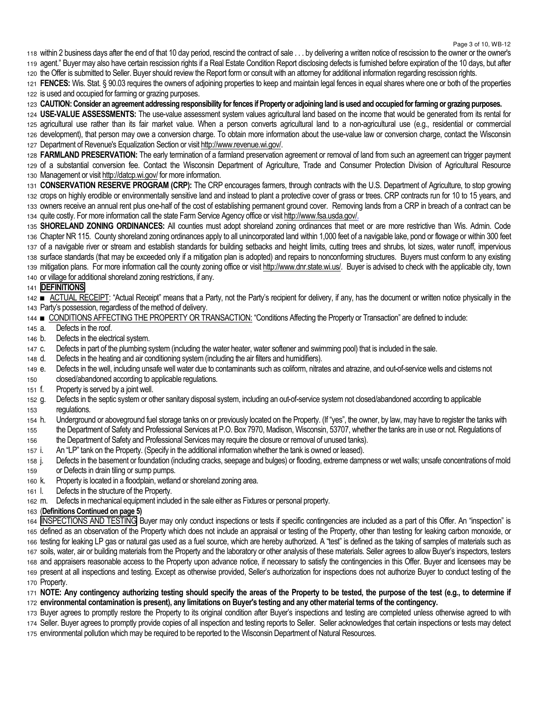within 2 business days after the end of that 10 day period, rescind the contract of sale . . . by delivering a written notice of rescission to the owner or the owner's agent." Buyer may also have certain rescission rights if a Real Estate Condition Report disclosing defects is furnished before expiration of the 10 days, but after

120 the Offer is submitted to Seller. Buyer should review the Report form or consult with an attorney for additional information regarding rescission rights.

 **FENCES:** Wis. Stat. § 90.03 requires the owners of adjoining properties to keep and maintain legal fences in equal shares where one or both of the properties is used and occupied for farming or grazing purposes.

**CAUTION: Consider an agreement addressing responsibility for fences if Property or adjoining land is used and occupied for farming or grazing purposes.** 

 **USE-VALUE ASSESSMENTS:** The use-value assessment system values agricultural land based on the income that would be generated from its rental for agricultural use rather than its fair market value. When a person converts agricultural land to a non-agricultural use (e.g., residential or commercial development), that person may owe a conversion charge. To obtain more information about the use-value law or conversion charge, contact the Wisconsin Department of Revenue's Equalization Section or visit http://www.revenue.wi.gov/.

 **FARMLAND PRESERVATION:** The early termination of a farmland preservation agreement or removal of land from such an agreement can trigger payment of a substantial conversion fee. Contact the Wisconsin Department of Agriculture, Trade and Consumer Protection Division of Agricultural Resource Management or visit http://datcp.wi.gov/ for more information.

 **CONSERVATION RESERVE PROGRAM (CRP):** The CRP encourages farmers, through contracts with the U.S. Department of Agriculture, to stop growing crops on highly erodible or environmentally sensitive land and instead to plant a protective cover of grass or trees. CRP contracts run for 10 to 15 years, and owners receive an annual rent plus one-half of the cost of establishing permanent ground cover. Removing lands from a CRP in breach of a contract can be quite costly. For more information call the state Farm Service Agency office or visit http://www.fsa.usda.gov/.

 **SHORELAND ZONING ORDINANCES:** All counties must adopt shoreland zoning ordinances that meet or are more restrictive than Wis. Admin. Code Chapter NR 115. County shoreland zoning ordinances apply to all unincorporated land within 1,000 feet of a navigable lake, pond or flowage or within 300 feet of a navigable river or stream and establish standards for building setbacks and height limits, cutting trees and shrubs, lot sizes, water runoff, impervious surface standards (that may be exceeded only if a mitigation plan is adopted) and repairs to nonconforming structures. Buyers must conform to any existing mitigation plans. For more information call the county zoning office or visit http://www.dnr.state.wi.us/. Buyer is advised to check with the applicable city, town or village for additional shoreland zoning restrictions, if any.

# **DEFINITIONS**

 **■** ACTUAL RECEIPT: "Actual Receipt" means that a Party, not the Party's recipient for delivery, if any, has the document or written notice physically in the Party's possession, regardless of the method of delivery.

**■** CONDITIONS AFFECTING THE PROPERTY OR TRANSACTION: "Conditions Affecting the Property or Transaction" are defined to include:

### a. Defects in the roof.

- b. Defects in the electrical system.
- c. Defects in part of the plumbing system (including the water heater, water softener and swimming pool) that is included in the sale.
- d. Defects in the heating and air conditioning system (including the air filters and humidifiers).
- e. Defects in the well, including unsafe well water due to contaminants such as coliform, nitrates and atrazine, and out-of-service wells and cisterns not
- closed/abandoned according to applicable regulations.
- f. Property is served by a joint well.
- g. Defects in the septic system or other sanitary disposal system, including an out-of-service system not closed/abandoned according to applicable regulations.
- h. Underground or aboveground fuel storage tanks on or previously located on the Property. (If "yes", the owner, by law, may have to register the tanks with
- the Department of Safety and Professional Services at P.O. Box 7970, Madison, Wisconsin, 53707, whether the tanks are in use or not. Regulations of the Department of Safety and Professional Services may require the closure or removal of unused tanks).
- i. An "LP" tank on the Property. (Specify in the additional information whether the tank is owned or leased).

 j. Defects in the basement or foundation (including cracks, seepage and bulges) or flooding, extreme dampness or wet walls; unsafe concentrations of mold or Defects in drain tiling or sump pumps.

- k. Property is located in a floodplain, wetland or shoreland zoning area.
- l. Defects in the structure of the Property.
- m. Defects in mechanical equipment included in the sale either as Fixtures or personal property.

#### (**Definitions Continued on page 5)**

 INSPECTIONS AND TESTING Buyer may only conduct inspections or tests if specific contingencies are included as a part of this Offer. An "inspection" is defined as an observation of the Property which does not include an appraisal or testing of the Property, other than testing for leaking carbon monoxide, or testing for leaking LP gas or natural gas used as a fuel source, which are hereby authorized. A "test" is defined as the taking of samples of materials such as soils, water, air or building materials from the Property and the laboratory or other analysis of these materials. Seller agrees to allow Buyer's inspectors, testers and appraisers reasonable access to the Property upon advance notice, if necessary to satisfy the contingencies in this Offer. Buyer and licensees may be present at all inspections and testing. Except as otherwise provided, Seller's authorization for inspections does not authorize Buyer to conduct testing of the Property.

#### **NOTE: Any contingency authorizing testing should specify the areas of the Property to be tested, the purpose of the test (e.g., to determine if environmental contamination is present), any limitations on Buyer's testing and any other material terms of the contingency.**

173 Buyer agrees to promptly restore the Property to its original condition after Buyer's inspections and testing are completed unless otherwise agreed to with Seller. Buyer agrees to promptly provide copies of all inspection and testing reports to Seller. Seller acknowledges that certain inspections or tests may detect

environmental pollution which may be required to be reported to the Wisconsin Department of Natural Resources.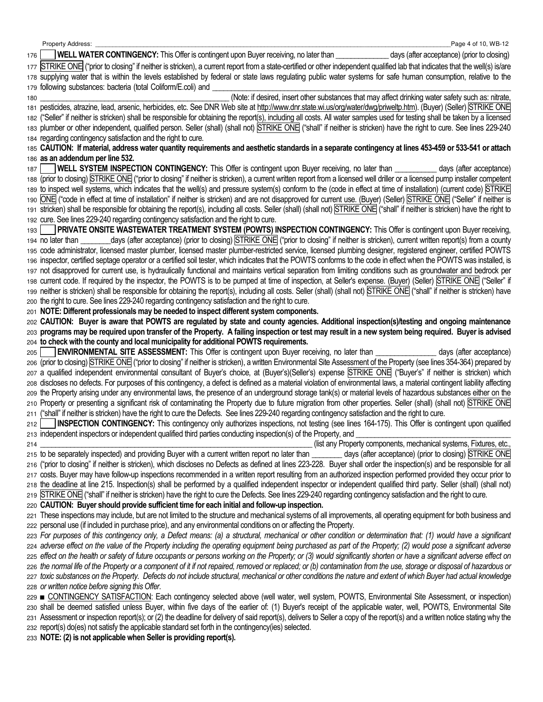|     | Page 4 of 10, WB-12<br>Property Address:                                                                                                                                                                                                                                                                                                    |
|-----|---------------------------------------------------------------------------------------------------------------------------------------------------------------------------------------------------------------------------------------------------------------------------------------------------------------------------------------------|
| 176 | WELL WATER CONTINGENCY: This Offer is contingent upon Buyer receiving, no later than ______________<br>days (after acceptance) (prior to closing)                                                                                                                                                                                           |
|     | 177 STRIKE ONE ("prior to closing" if neither is stricken), a current report from a state-certified or other independent qualified lab that indicates that the well(s) is/are                                                                                                                                                               |
|     | 178 supplying water that is within the levels established by federal or state laws regulating public water systems for safe human consumption, relative to the                                                                                                                                                                              |
|     | 179 following substances: bacteria (total Coliform/E.coli) and                                                                                                                                                                                                                                                                              |
| 180 | (Note: if desired, insert other substances that may affect drinking water safety such as: nitrate,                                                                                                                                                                                                                                          |
|     | 181 pesticides, atrazine, lead, arsenic, herbicides, etc. See DNR Web site at http://www.dnr.state.wi.us/org/water/dwg/priweltp.htm). (Buyer) (Seller) STRIKE ONE                                                                                                                                                                           |
|     | 182 ("Seller" if neither is stricken) shall be responsible for obtaining the report(s), including all costs. All water samples used for testing shall be taken by a licensed                                                                                                                                                                |
|     | 183 plumber or other independent, qualified person. Seller (shall) (shall not) STRIKE ONE ("shall" if neither is stricken) have the right to cure. See lines 229-240                                                                                                                                                                        |
|     | 184 regarding contingency satisfaction and the right to cure.                                                                                                                                                                                                                                                                               |
|     | 185 CAUTION: If material, address water quantity requirements and aesthetic standards in a separate contingency at lines 453-459 or 533-541 or attach                                                                                                                                                                                       |
|     | 186 as an addendum per line 532.                                                                                                                                                                                                                                                                                                            |
| 187 | WELL SYSTEM INSPECTION CONTINGENCY: This Offer is contingent upon Buyer receiving, no later than __________ days (after acceptance)                                                                                                                                                                                                         |
|     | 188 (prior to closing) STRIKE ONE ("prior to closing" if neither is stricken), a current written report from a licensed well driller or a licensed pump installer competent                                                                                                                                                                 |
|     | 189 to inspect well systems, which indicates that the well(s) and pressure system(s) conform to the (code in effect at time of installation) (current code) STRIKE                                                                                                                                                                          |
|     | 190 ONE ("code in effect at time of installation" if neither is stricken) and are not disapproved for current use. (Buyer) (Seller) STRIKE ONE ("Seller" if neither is                                                                                                                                                                      |
|     | 191 stricken) shall be responsible for obtaining the report(s), including all costs. Seller (shall) (shall not) STRIKE ONE ("shall" if neither is stricken) have the right to                                                                                                                                                               |
|     | 192 cure. See lines 229-240 regarding contingency satisfaction and the right to cure.                                                                                                                                                                                                                                                       |
| 193 | PRIVATE ONSITE WASTEWATER TREATMENT SYSTEM (POWTS) INSPECTION CONTINGENCY: This Offer is contingent upon Buyer receiving,                                                                                                                                                                                                                   |
|     | days (after acceptance) (prior to closing) STRIKE ONE ("prior to closing" if neither is stricken), current written report(s) from a county<br>194 no later than                                                                                                                                                                             |
|     | 195 code administrator, licensed master plumber, licensed master plumber-restricted service, licensed plumbing designer, registered engineer, certified POWTS                                                                                                                                                                               |
|     | 196 inspector, certified septage operator or a certified soil tester, which indicates that the POWTS conforms to the code in effect when the POWTS was installed, is                                                                                                                                                                        |
|     | 197 not disapproved for current use, is hydraulically functional and maintains vertical separation from limiting conditions such as groundwater and bedrock per                                                                                                                                                                             |
|     | 198 current code. If required by the inspector, the POWTS is to be pumped at time of inspection, at Seller's expense. (Buyer) (Seller) STRIKE ONE ("Seller" if                                                                                                                                                                              |
|     | 199 neither is stricken) shall be responsible for obtaining the report(s), including all costs. Seller (shall) (shall not) STRIKE ONE ("shall" if neither is stricken) have                                                                                                                                                                 |
|     | 200 the right to cure. See lines 229-240 regarding contingency satisfaction and the right to cure.                                                                                                                                                                                                                                          |
|     | 201 NOTE: Different professionals may be needed to inspect different system components.<br>202 CAUTION: Buyer is aware that POWTS are regulated by state and county agencies. Additional inspection(s)/testing and ongoing maintenance                                                                                                      |
|     | 203 programs may be required upon transfer of the Property. A failing inspection or test may result in a new system being required. Buyer is advised                                                                                                                                                                                        |
|     | 204 to check with the county and local municipality for additional POWTS requirements.                                                                                                                                                                                                                                                      |
| 205 | ENVIRONMENTAL SITE ASSESSMENT: This Offer is contingent upon Buyer receiving, no later than ____________<br>days (after acceptance)                                                                                                                                                                                                         |
|     |                                                                                                                                                                                                                                                                                                                                             |
|     |                                                                                                                                                                                                                                                                                                                                             |
|     | 206 (prior to closing) STRIKE ONE ("prior to closing" if neither is stricken), a written Environmental Site Assessment of the Property (see lines 354-364) prepared by                                                                                                                                                                      |
|     | 207 a qualified independent environmental consultant of Buyer's choice, at (Buyer's)(Seller's) expense STRIKE ONE ("Buyer's" if neither is stricken) which<br>208 discloses no defects. For purposes of this contingency, a defect is defined as a material violation of environmental laws, a material contingent liability affecting      |
|     | 209 the Property arising under any environmental laws, the presence of an underground storage tank(s) or material levels of hazardous substances either on the                                                                                                                                                                              |
|     | 210 Property or presenting a significant risk of contaminating the Property due to future migration from other properties. Seller (shall) (shall not) STRIKE ONE                                                                                                                                                                            |
|     | 211 ("shall" if neither is stricken) have the right to cure the Defects. See lines 229-240 regarding contingency satisfaction and the right to cure.                                                                                                                                                                                        |
| 212 | <b>INSPECTION CONTINGENCY:</b> This contingency only authorizes inspections, not testing (see lines 164-175). This Offer is contingent upon qualified                                                                                                                                                                                       |
|     |                                                                                                                                                                                                                                                                                                                                             |
| 214 | 213 independent inspectors or independent qualified third parties conducting inspection(s) of the Property, and<br>_ (list any Property components, mechanical systems, Fixtures, etc.,                                                                                                                                                     |
|     | 215 to be separately inspected) and providing Buyer with a current written report no later than _______<br>days (after acceptance) (prior to closing) STRIKE ONE                                                                                                                                                                            |
|     | 216 ("prior to closing" if neither is stricken), which discloses no Defects as defined at lines 223-228. Buyer shall order the inspection(s) and be responsible for all                                                                                                                                                                     |
|     | 217 costs. Buyer may have follow-up inspections recommended in a written report resulting from an authorized inspection performed provided they occur prior to                                                                                                                                                                              |
|     | 218 the deadline at line 215. Inspection(s) shall be performed by a qualified independent inspector or independent qualified third party. Seller (shall) (shall not)                                                                                                                                                                        |
|     | 219 STRIKE ONE ("shall" if neither is stricken) have the right to cure the Defects. See lines 229-240 regarding contingency satisfaction and the right to cure.                                                                                                                                                                             |
|     | 220 CAUTION: Buyer should provide sufficient time for each initial and follow-up inspection.                                                                                                                                                                                                                                                |
|     | 221 These inspections may include, but are not limited to the structure and mechanical systems of all improvements, all operating equipment for both business and                                                                                                                                                                           |
|     | 222 personal use (if included in purchase price), and any environmental conditions on or affecting the Property.                                                                                                                                                                                                                            |
|     | 223 For purposes of this contingency only, a Defect means: (a) a structural, mechanical or other condition or determination that: (1) would have a significant                                                                                                                                                                              |
|     | 224 adverse effect on the value of the Property including the operating equipment being purchased as part of the Property; (2) would pose a significant adverse                                                                                                                                                                             |
|     | 225 effect on the health or safety of future occupants or persons working on the Property; or (3) would significantly shorten or have a significant adverse effect on                                                                                                                                                                       |
|     | 226 the normal life of the Property or a component of it if not repaired, removed or replaced; or (b) contamination from the use, storage or disposal of hazardous or                                                                                                                                                                       |
|     | 227 toxic substances on the Property. Defects do not include structural, mechanical or other conditions the nature and extent of which Buyer had actual knowledge                                                                                                                                                                           |
|     | 228 or written notice before signing this Offer.                                                                                                                                                                                                                                                                                            |
|     | 229 CONTINGENCY SATISFACTION: Each contingency selected above (well water, well system, POWTS, Environmental Site Assessment, or inspection)                                                                                                                                                                                                |
|     | 230 shall be deemed satisfied unless Buyer, within five days of the earlier of: (1) Buyer's receipt of the applicable water, well, POWTS, Environmental Site<br>231 Assessment or inspection report(s); or (2) the deadline for delivery of said report(s), delivers to Seller a copy of the report(s) and a written notice stating why the |

**NOTE: (2) is not applicable when Seller is providing report(s).**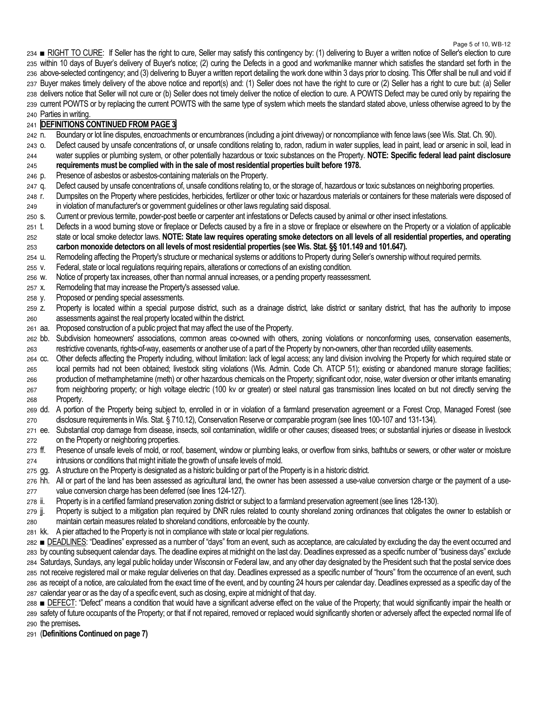Page 5 of 10, WB-12

234 ■ RIGHT TO CURE: If Seller has the right to cure, Seller may satisfy this contingency by: (1) delivering to Buyer a written notice of Seller's election to cure within 10 days of Buyer's delivery of Buyer's notice; (2) curing the Defects in a good and workmanlike manner which satisfies the standard set forth in the above-selected contingency; and (3) delivering to Buyer a written report detailing the work done within 3 days prior to closing. This Offer shall be null and void if Buyer makes timely delivery of the above notice and report(s) and: (1) Seller does not have the right to cure or (2) Seller has a right to cure but: (a) Seller delivers notice that Seller will not cure or (b) Seller does not timely deliver the notice of election to cure. A POWTS Defect may be cured only by repairing the current POWTS or by replacing the current POWTS with the same type of system which meets the standard stated above, unless otherwise agreed to by the Parties in writing.

# **DEFINITIONS CONTINUED FROM PAGE 3**

- n. Boundary or lot line disputes, encroachments or encumbrances (including a joint driveway) or noncompliance with fence laws (see Wis. Stat. Ch. 90).
- o. Defect caused by unsafe concentrations of, or unsafe conditions relating to, radon, radium in water supplies, lead in paint, lead or arsenic in soil, lead in water supplies or plumbing system, or other potentially hazardous or toxic substances on the Property. **NOTE: Specific federal lead paint disclosure**
- **requirements must be complied with in the sale of most residential properties built before 1978.**
- p. Presence of asbestos or asbestos-containing materials on the Property.
- q. Defect caused by unsafe concentrations of, unsafe conditions relating to, or the storage of, hazardous or toxic substances on neighboring properties.
- r. Dumpsites on the Property where pesticides, herbicides, fertilizer or other toxic or hazardous materials or containers for these materials were disposed of in violation of manufacturer's or government guidelines or other laws regulating said disposal.
- s. Current or previous termite, powder-post beetle or carpenter ant infestations or Defects caused by animal or other insect infestations.
- t. Defects in a wood burning stove or fireplace or Defects caused by a fire in a stove or fireplace or elsewhere on the Property or a violation of applicable state or local smoke detector laws. **NOTE: State law requires operating smoke detectors on all levels of all residential properties***,* **and operating carbon monoxide detectors on all levels of most residential properties (see Wis. Stat. §§ 101.149 and 101.647).**
- u. Remodeling affecting the Property's structure or mechanical systems or additions to Property during Seller's ownership without required permits.
- v. Federal, state or local regulations requiring repairs, alterations or corrections of an existing condition.
- w. Notice of property tax increases, other than normal annual increases, or a pending property reassessment.
- x. Remodeling that may increase the Property's assessed value.
- y. Proposed or pending special assessments.
- z. Property is located within a special purpose district, such as a drainage district, lake district or sanitary district, that has the authority to impose assessments against the real property located within the district.
- aa. Proposed construction of a public project that may affect the use of the Property.
- bb. Subdivision homeowners' associations, common areas co-owned with others, zoning violations or nonconforming uses, conservation easements, restrictive covenants, rights-of-way, easements or another use of a part of the Property by non-owners, other than recorded utility easements.
- cc. Other defects affecting the Property including, without limitation: lack of legal access; any land division involving the Property for which required state or local permits had not been obtained; livestock siting violations (Wis. Admin. Code Ch. ATCP 51); existing or abandoned manure storage facilities; production of methamphetamine (meth) or other hazardous chemicals on the Property; significant odor, noise, water diversion or other irritants emanating from neighboring property; or high voltage electric (100 kv or greater) or steel natural gas transmission lines located on but not directly serving the Property.
- dd. A portion of the Property being subject to, enrolled in or in violation of a farmland preservation agreement or a Forest Crop, Managed Forest (see disclosure requirements in Wis. Stat. § 710.12), Conservation Reserve or comparable program (see lines 100-107 and 131-134).
- ee. Substantial crop damage from disease, insects, soil contamination, wildlife or other causes; diseased trees; or substantial injuries or disease in livestock on the Property or neighboring properties.
- ff. Presence of unsafe levels of mold, or roof, basement, window or plumbing leaks, or overflow from sinks, bathtubs or sewers, or other water or moisture intrusions or conditions that might initiate the growth of unsafe levels of mold.
- gg. A structure on the Property is designated as a historic building or part of the Property is in a historic district.
- hh. All or part of the land has been assessed as agricultural land, the owner has been assessed a use-value conversion charge or the payment of a use-value conversion charge has been deferred (see lines 124-127).
- ii. Property is in a certified farmland preservation zoning district or subject to a farmland preservation agreement (see lines 128-130).
- 279 jj. Property is subject to a mitigation plan required by DNR rules related to county shoreland zoning ordinances that obligates the owner to establish or maintain certain measures related to shoreland conditions, enforceable by the county.
- kk. A pier attached to the Property is not in compliance with state or local pier regulations.
- DEADLINES: "Deadlines" expressed as a number of "days" from an event, such as acceptance, are calculated by excluding the day the event occurred and by counting subsequent calendar days. The deadline expires at midnight on the last day. Deadlines expressed as a specific number of "business days" exclude Saturdays, Sundays, any legal public holiday under Wisconsin or Federal law, and any other day designated by the President such that the postal service does not receive registered mail or make regular deliveries on that day. Deadlines expressed as a specific number of "hours" from the occurrence of an event, such as receipt of a notice, are calculated from the exact time of the event, and by counting 24 hours per calendar day. Deadlines expressed as a specific day of the calendar year or as the day of a specific event, such as closing, expire at midnight of that day.
- DEFECT: "Defect" means a condition that would have a significant adverse effect on the value of the Property; that would significantly impair the health or safety of future occupants of the Property; or that if not repaired, removed or replaced would significantly shorten or adversely affect the expected normal life of the premises**.**
- (**Definitions Continued on page 7)**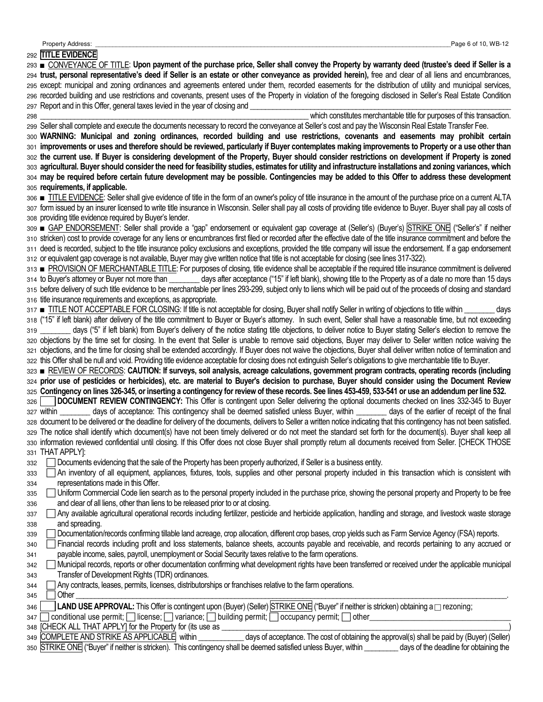|     | 293 ■ CONVEYANCE OF TITLE: Upon payment of the purchase price, Seller shall convey the Property by warranty deed (trustee's deed if Seller is a                                                                                                                                                                                      |
|-----|--------------------------------------------------------------------------------------------------------------------------------------------------------------------------------------------------------------------------------------------------------------------------------------------------------------------------------------|
|     | 294 trust, personal representative's deed if Seller is an estate or other conveyance as provided herein), free and clear of all liens and encumbrances,                                                                                                                                                                              |
|     | 295 except: municipal and zoning ordinances and agreements entered under them, recorded easements for the distribution of utility and municipal services,                                                                                                                                                                            |
|     | 296 recorded building and use restrictions and covenants, present uses of the Property in violation of the foregoing disclosed in Seller's Real Estate Condition                                                                                                                                                                     |
|     | 297 Report and in this Offer, general taxes levied in the year of closing and                                                                                                                                                                                                                                                        |
| 298 | which constitutes merchantable title for purposes of this transaction.                                                                                                                                                                                                                                                               |
|     | 299 Seller shall complete and execute the documents necessary to record the conveyance at Seller's cost and pay the Wisconsin Real Estate Transfer Fee.                                                                                                                                                                              |
|     | 300 WARNING: Municipal and zoning ordinances, recorded building and use restrictions, covenants and easements may prohibit certain                                                                                                                                                                                                   |
|     | 301 improvements or uses and therefore should be reviewed, particularly if Buyer contemplates making improvements to Property or a use other than                                                                                                                                                                                    |
|     | 302 the current use. If Buyer is considering development of the Property, Buyer should consider restrictions on development if Property is zoned                                                                                                                                                                                     |
|     | 303 agricultural. Buyer should consider the need for feasibility studies, estimates for utility and infrastructure installations and zoning variances, which                                                                                                                                                                         |
|     | 304 may be required before certain future development may be possible. Contingencies may be added to this Offer to address these development                                                                                                                                                                                         |
|     | 305 requirements, if applicable.                                                                                                                                                                                                                                                                                                     |
|     | 306 ■ TITLE EVIDENCE: Seller shall give evidence of title in the form of an owner's policy of title insurance in the amount of the purchase price on a current ALTA                                                                                                                                                                  |
|     | 307 form issued by an insurer licensed to write title insurance in Wisconsin. Seller shall pay all costs of providing title evidence to Buyer. Buyer shall pay all costs of                                                                                                                                                          |
|     | 308 providing title evidence required by Buyer's lender.                                                                                                                                                                                                                                                                             |
|     | 309 ■ GAP ENDORSEMENT: Seller shall provide a "gap" endorsement or equivalent gap coverage at (Seller's) (Buyer's) STRIKE ONE ("Seller's" if neither                                                                                                                                                                                 |
|     | 310 stricken) cost to provide coverage for any liens or encumbrances first filed or recorded after the effective date of the title insurance commitment and before the                                                                                                                                                               |
|     | 311 deed is recorded, subject to the title insurance policy exclusions and exceptions, provided the title company will issue the endorsement. If a gap endorsement                                                                                                                                                                   |
|     | 312 or equivalent gap coverage is not available, Buyer may give written notice that title is not acceptable for closing (see lines 317-322).                                                                                                                                                                                         |
|     | 313 ■ PROVISION OF MERCHANTABLE TITLE: For purposes of closing, title evidence shall be acceptable if the required title insurance commitment is delivered                                                                                                                                                                           |
|     | 314 to Buyer's attorney or Buyer not more than ________ days after acceptance ("15" if left blank), showing title to the Property as of a date no more than 15 days                                                                                                                                                                  |
|     | 315 before delivery of such title evidence to be merchantable per lines 293-299, subject only to liens which will be paid out of the proceeds of closing and standard                                                                                                                                                                |
|     | 316 title insurance requirements and exceptions, as appropriate.                                                                                                                                                                                                                                                                     |
|     | 317 ■ TITLE NOT ACCEPTABLE FOR CLOSING: If title is not acceptable for closing, Buyer shall notify Seller in writing of objections to title within _<br>days                                                                                                                                                                         |
|     | 318 ("15" if left blank) after delivery of the title commitment to Buyer or Buyer's attorney. In such event, Seller shall have a reasonable time, but not exceeding                                                                                                                                                                  |
|     | days ("5" if left blank) from Buyer's delivery of the notice stating title objections, to deliver notice to Buyer stating Seller's election to remove the<br>319<br>320 objections by the time set for closing. In the event that Seller is unable to remove said objections, Buyer may deliver to Seller written notice waiving the |
|     | 321 objections, and the time for closing shall be extended accordingly. If Buyer does not waive the objections, Buyer shall deliver written notice of termination and                                                                                                                                                                |
|     | 322 this Offer shall be null and void. Providing title evidence acceptable for closing does not extinguish Seller's obligations to give merchantable title to Buyer.                                                                                                                                                                 |
|     | 323 ■ REVIEW OF RECORDS: CAUTION: If surveys, soil analysis, acreage calculations, government program contracts, operating records (including                                                                                                                                                                                        |
|     | 324 prior use of pesticides or herbicides), etc. are material to Buyer's decision to purchase, Buyer should consider using the Document Review                                                                                                                                                                                       |
|     | 325 Contingency on lines 326-345, or inserting a contingency for review of these records. See lines 453-459, 533-541 or use an addendum per line 532.                                                                                                                                                                                |
| 326 | DOCUMENT REVIEW CONTINGENCY: This Offer is contingent upon Seller delivering the optional documents checked on lines 332-345 to Buyer                                                                                                                                                                                                |
|     | days of acceptance: This contingency shall be deemed satisfied unless Buyer, within _______ days of the earlier of receipt of the final<br>327 within                                                                                                                                                                                |
|     | 328 document to be delivered or the deadline for delivery of the documents, delivers to Seller a written notice indicating that this contingency has not been satisfied.                                                                                                                                                             |
|     | 329 The notice shall identify which document(s) have not been timely delivered or do not meet the standard set forth for the document(s). Buyer shall keep all                                                                                                                                                                       |
|     | 330 information reviewed confidential until closing. If this Offer does not close Buyer shall promptly return all documents received from Seller. [CHECK THOSE                                                                                                                                                                       |
|     | 331 THAT APPLY]:                                                                                                                                                                                                                                                                                                                     |
| 332 | Documents evidencing that the sale of the Property has been properly authorized, if Seller is a business entity.                                                                                                                                                                                                                     |
| 333 | An inventory of all equipment, appliances, fixtures, tools, supplies and other personal property included in this transaction which is consistent with                                                                                                                                                                               |
| 334 | representations made in this Offer.                                                                                                                                                                                                                                                                                                  |
| 335 | Uniform Commercial Code lien search as to the personal property included in the purchase price, showing the personal property and Property to be free                                                                                                                                                                                |
| 336 | and clear of all liens, other than liens to be released prior to or at closing.                                                                                                                                                                                                                                                      |
| 337 | Any available agricultural operational records including fertilizer, pesticide and herbicide application, handling and storage, and livestock waste storage                                                                                                                                                                          |
| 338 | and spreading.                                                                                                                                                                                                                                                                                                                       |
| 339 | Documentation/records confirming tillable land acreage, crop allocation, different crop bases, crop yields such as Farm Service Agency (FSA) reports.                                                                                                                                                                                |
| 340 | Financial records including profit and loss statements, balance sheets, accounts payable and receivable, and records pertaining to any accrued or                                                                                                                                                                                    |
| 341 | payable income, sales, payroll, unemployment or Social Security taxes relative to the farm operations.                                                                                                                                                                                                                               |
| 342 | Municipal records, reports or other documentation confirming what development rights have been transferred or received under the applicable municipal                                                                                                                                                                                |
| 343 | Transfer of Development Rights (TDR) ordinances.                                                                                                                                                                                                                                                                                     |
| 344 | Any contracts, leases, permits, licenses, distributorships or franchises relative to the farm operations.                                                                                                                                                                                                                            |
| 345 | Other                                                                                                                                                                                                                                                                                                                                |
| 346 | LAND USE APPROVAL: This Offer is contingent upon (Buyer) (Seller) STRIKE ONE ("Buyer" if neither is stricken) obtaining a $\Box$ rezoning;                                                                                                                                                                                           |
| 347 | conditional use permit; $\Box$ license; $\Box$ variance; $\Box$ building permit; $\Box$ occupancy permit; $\Box$ other                                                                                                                                                                                                               |
| 348 | [CHECK ALL THAT APPLY] for the Property for (its use as _____                                                                                                                                                                                                                                                                        |
| 349 | days of acceptance. The cost of obtaining the approval(s) shall be paid by (Buyer) (Seller)<br>COMPLETE AND STRIKE AS APPLICABLE within                                                                                                                                                                                              |
|     | 350 STRIKE ONE ("Buyer" if neither is stricken). This contingency shall be deemed satisfied unless Buyer, within<br>days of the deadline for obtaining the                                                                                                                                                                           |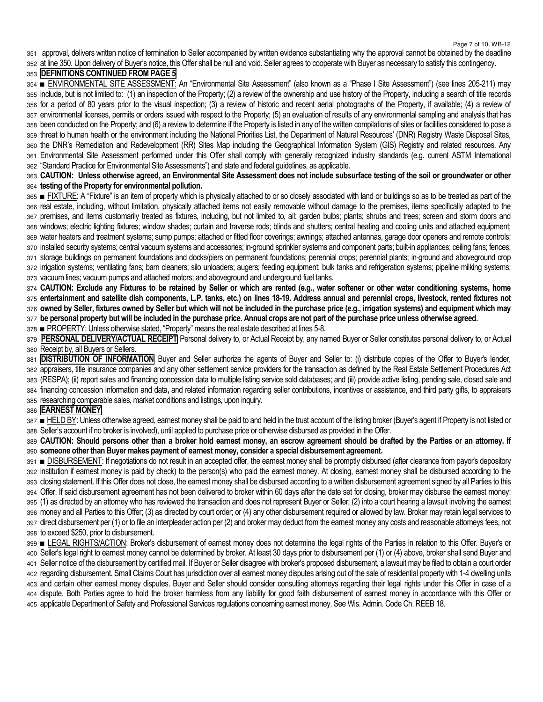Page 7 of 10, WB-12

approval, delivers written notice of termination to Seller accompanied by written evidence substantiating why the approval cannot be obtained by the deadline

at line 350. Upon delivery of Buyer's notice, this Offer shall be null and void. Seller agrees to cooperate with Buyer as necessary to satisfy this contingency.

## **DEFINITIONS CONTINUED FROM PAGE 5**

 ■ ENVIRONMENTAL SITE ASSESSMENT: An "Environmental Site Assessment" (also known as a "Phase I Site Assessment") (see lines 205-211) may include, but is not limited to: (1) an inspection of the Property; (2) a review of the ownership and use history of the Property, including a search of title records for a period of 80 years prior to the visual inspection; (3) a review of historic and recent aerial photographs of the Property, if available; (4) a review of environmental licenses, permits or orders issued with respect to the Property; (5) an evaluation of results of any environmental sampling and analysis that has been conducted on the Property; and (6) a review to determine if the Property is listed in any of the written compilations of sites or facilities considered to pose a threat to human health or the environment including the National Priorities List, the Department of Natural Resources' (DNR) Registry Waste Disposal Sites, the DNR's Remediation and Redevelopment (RR) Sites Map including the Geographical Information System (GIS) Registry and related resources. Any Environmental Site Assessment performed under this Offer shall comply with generally recognized industry standards (e.g. current ASTM International "Standard Practice for Environmental Site Assessments") and state and federal guidelines, as applicable.

#### **CAUTION: Unless otherwise agreed, an Environmental Site Assessment does not include subsurface testing of the soil or groundwater or other testing of the Property for environmental pollution.**

 **■** FIXTURE: A "Fixture" is an item of property which is physically attached to or so closely associated with land or buildings so as to be treated as part of the real estate, including, without limitation, physically attached items not easily removable without damage to the premises, items specifically adapted to the premises, and items customarily treated as fixtures, including, but not limited to, all: garden bulbs; plants; shrubs and trees; screen and storm doors and windows; electric lighting fixtures; window shades; curtain and traverse rods; blinds and shutters; central heating and cooling units and attached equipment; water heaters and treatment systems; sump pumps; attached or fitted floor coverings; awnings; attached antennas, garage door openers and remote controls; installed security systems; central vacuum systems and accessories; in-ground sprinkler systems and component parts; built-in appliances; ceiling fans; fences; storage buildings on permanent foundations and docks/piers on permanent foundations; perennial crops; perennial plants; in-ground and aboveground crop 372 irrigation systems; ventilating fans; barn cleaners; silo unloaders; augers; feeding equipment; bulk tanks and refrigeration systems; pipeline milking systems; vacuum lines; vacuum pumps and attached motors; and aboveground and underground fuel tanks.

 **CAUTION: Exclude any Fixtures to be retained by Seller or which are rented (e.g., water softener or other water conditioning systems, home entertainment and satellite dish components, L.P. tanks, etc.) on lines 18-19. Address annual and perennial crops, livestock, rented fixtures not owned by Seller, fixtures owned by Seller but which will not be included in the purchase price (e.g., irrigation systems) and equipment which may be personal property but will be included in the purchase price. Annual crops are not part of the purchase price unless otherwise agreed.** 

**■** PROPERTY: Unless otherwise stated, "Property" means the real estate described at lines 5-8.

 **PERSONAL DELIVERY/ACTUAL RECEIPT** Personal delivery to, or Actual Receipt by, any named Buyer or Seller constitutes personal delivery to, or Actual Receipt by, all Buyers or Sellers.

 **DISTRIBUTION OF INFORMATION** Buyer and Seller authorize the agents of Buyer and Seller to: (i) distribute copies of the Offer to Buyer's lender, appraisers, title insurance companies and any other settlement service providers for the transaction as defined by the Real Estate Settlement Procedures Act (RESPA); (ii) report sales and financing concession data to multiple listing service sold databases; and (iii) provide active listing, pending sale, closed sale and financing concession information and data**,** and related information regarding seller contributions, incentives or assistance, and third party gifts, to appraisers researching comparable sales, market conditions and listings, upon inquiry.

#### **EARNEST MONEY**

 ■ HELD BY: Unless otherwise agreed, earnest money shall be paid to and held in the trust account of the listing broker (Buyer's agent if Property is not listed or Seller's account if no broker is involved), until applied to purchase price or otherwise disbursed as provided in the Offer.

 **CAUTION: Should persons other than a broker hold earnest money, an escrow agreement should be drafted by the Parties or an attorney. If someone other than Buyer makes payment of earnest money, consider a special disbursement agreement.** 

 ■ DISBURSEMENT: If negotiations do not result in an accepted offer, the earnest money shall be promptly disbursed (after clearance from payor's depository institution if earnest money is paid by check) to the person(s) who paid the earnest money. At closing, earnest money shall be disbursed according to the closing statement. If this Offer does not close, the earnest money shall be disbursed according to a written disbursement agreement signed by all Parties to this Offer. If said disbursement agreement has not been delivered to broker within 60 days after the date set for closing, broker may disburse the earnest money: (1) as directed by an attorney who has reviewed the transaction and does not represent Buyer or Seller; (2) into a court hearing a lawsuit involving the earnest money and all Parties to this Offer; (3) as directed by court order; or (4) any other disbursement required or allowed by law. Broker may retain legal services to direct disbursement per (1) or to file an interpleader action per (2) and broker may deduct from the earnest money any costs and reasonable attorneys fees, not to exceed \$250, prior to disbursement.

 ■ LEGAL RIGHTS/ACTION: Broker's disbursement of earnest money does not determine the legal rights of the Parties in relation to this Offer. Buyer's or Seller's legal right to earnest money cannot be determined by broker. At least 30 days prior to disbursement per (1) or (4) above, broker shall send Buyer and Seller notice of the disbursement by certified mail. If Buyer or Seller disagree with broker's proposed disbursement, a lawsuit may be filed to obtain a court order regarding disbursement. Small Claims Court has jurisdiction over all earnest money disputes arising out of the sale of residential property with 1-4 dwelling units and certain other earnest money disputes. Buyer and Seller should consider consulting attorneys regarding their legal rights under this Offer in case of a dispute. Both Parties agree to hold the broker harmless from any liability for good faith disbursement of earnest money in accordance with this Offer or applicable Department of Safety and Professional Services regulations concerning earnest money. See Wis. Admin. Code Ch. REEB 18.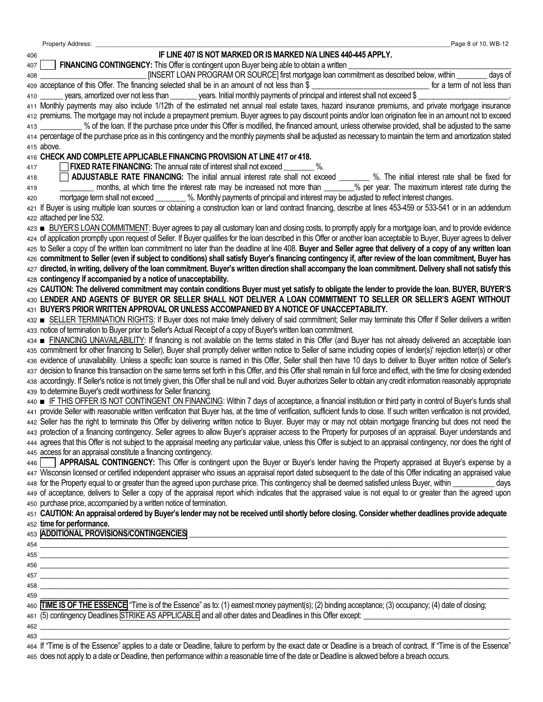Property Address: \_\_\_\_\_\_\_\_\_\_\_\_\_\_\_\_\_\_\_\_\_\_\_\_\_\_\_\_\_\_\_\_\_\_\_\_\_\_\_\_\_\_\_\_\_\_\_\_\_\_\_\_\_\_\_\_\_\_\_\_\_\_\_\_\_\_\_\_\_\_\_\_\_\_\_\_\_\_\_\_\_\_\_\_\_\_\_\_\_\_\_\_\_\_\_\_\_\_\_\_\_\_\_Page 8 of 10, WB-12 **IF LINE 407 IS NOT MARKED OR IS MARKED N/A LINES 440-445 APPLY. FINANCING CONTINGENCY:** This Offer is contingent upon Buyer being able to obtain a written \_ \_\_\_\_\_\_\_\_\_\_\_\_\_\_\_\_\_\_\_\_\_\_\_\_\_\_\_\_ [INSERT LOAN PROGRAM OR SOURCE] first mortgage loan commitment as described below, within \_\_\_\_\_\_\_\_ days of acceptance of this Offer. The financing selected shall be in an amount of not less than \$ \_\_\_\_\_\_\_\_\_\_\_\_\_\_\_\_\_\_\_\_\_\_\_\_\_\_\_\_\_\_\_ for a term of not less than 410 years, amortized over not less than years. Initial monthly payments of principal and interest shall not exceed \$ Monthly payments may also include 1/12th of the estimated net annual real estate taxes, hazard insurance premiums, and private mortgage insurance premiums. The mortgage may not include a prepayment premium. Buyer agrees to pay discount points and/or loan origination fee in an amount not to exceed \_\_\_\_\_\_\_\_\_\_\_ % of the loan. If the purchase price under this Offer is modified, the financed amount, unless otherwise provided, shall be adjusted to the same percentage of the purchase price as in this contingency and the monthly payments shall be adjusted as necessary to maintain the term and amortization stated above. **CHECK AND COMPLETE APPLICABLE FINANCING PROVISION AT LINE 417 or 418. FIXED RATE FINANCING:** The annual rate of interest shall not exceed **ADJUSTABLE RATE FINANCING:** The initial annual interest rate shall not exceed \_\_\_\_\_\_ %. The initial interest rate shall be fixed for months, at which time the interest rate may be increased not more than \_\_\_\_\_\_% per y **hoursely months, at which time the interest rate may be increased not more than**  mortgage term shall not exceed \_\_\_\_\_\_\_\_ %. Monthly payments of principal and interest may be adjusted to reflect interest changes. If Buyer is using multiple loan sources or obtaining a construction loan or land contract financing, describe at lines 453-459 or 533-541 or in an addendum attached per line 532. **■** BUYER'S LOAN COMMITMENT: Buyer agrees to pay all customary loan and closing costs, to promptly apply for a mortgage loan, and to provide evidence of application promptly upon request of Seller. If Buyer qualifies for the loan described in this Offer or another loan acceptable to Buyer, Buyer agrees to deliver to Seller a copy of the written loan commitment no later than the deadline at line 408. **Buyer and Seller agree that delivery of a copy of any written loan commitment to Seller (even if subject to conditions) shall satisfy Buyer's financing contingency if, after review of the loan commitment, Buyer has directed, in writing, delivery of the loan commitment. Buyer's written direction shall accompany the loan commitment. Delivery shall not satisfy this contingency if accompanied by a notice of unacceptability. CAUTION: The delivered commitment may contain conditions Buyer must yet satisfy to obligate the lender to provide the loan. BUYER, BUYER'S LENDER AND AGENTS OF BUYER OR SELLER SHALL NOT DELIVER A LOAN COMMITMENT TO SELLER OR SELLER'S AGENT WITHOUT BUYER'S PRIOR WRITTEN APPROVAL OR UNLESS ACCOMPANIED BY A NOTICE OF UNACCEPTABILITY. ■** SELLER TERMINATION RIGHTS: If Buyer does not make timely delivery of said commitment; Seller may terminate this Offer if Seller delivers a written notice of termination to Buyer prior to Seller's Actual Receipt of a copy of Buyer's written loan commitment. **■** FINANCING UNAVAILABILITY: If financing is not available on the terms stated in this Offer (and Buyer has not already delivered an acceptable loan commitment for other financing to Seller), Buyer shall promptly deliver written notice to Seller of same including copies of lender(s)' rejection letter(s) or other evidence of unavailability. Unless a specific loan source is named in this Offer, Seller shall then have 10 days to deliver to Buyer written notice of Seller's decision to finance this transaction on the same terms set forth in this Offer, and this Offer shall remain in full force and effect, with the time for closing extended accordingly. If Seller's notice is not timely given, this Offer shall be null and void. Buyer authorizes Seller to obtain any credit information reasonably appropriate to determine Buyer's credit worthiness for Seller financing. **■** IF THIS OFFER IS NOT CONTINGENT ON FINANCING: Within 7 days of acceptance, a financial institution or third party in control of Buyer's funds shall provide Seller with reasonable written verification that Buyer has, at the time of verification, sufficient funds to close. If such written verification is not provided, Seller has the right to terminate this Offer by delivering written notice to Buyer. Buyer may or may not obtain mortgage financing but does not need the protection of a financing contingency. Seller agrees to allow Buyer's appraiser access to the Property for purposes of an appraisal. Buyer understands and 444 agrees that this Offer is not subject to the appraisal meeting any particular value, unless this Offer is subject to an appraisal contingency, nor does the right of access for an appraisal constitute a financing contingency. **APPRAISAL CONTINGENCY:** This Offer is contingent upon the Buyer or Buyer's lender having the Property appraised at Buyer's expense by a Wisconsin licensed or certified independent appraiser who issues an appraisal report dated subsequent to the date of this Offer indicating an appraised value for the Property equal to or greater than the agreed upon purchase price. This contingency shall be deemed satisfied unless Buyer, within \_\_\_\_\_\_\_\_\_\_\_ days of acceptance, delivers to Seller a copy of the appraisal report which indicates that the appraised value is not equal to or greater than the agreed upon purchase price, accompanied by a written notice of termination. **CAUTION: An appraisal ordered by Buyer's lender may not be received until shortly before closing. Consider whether deadlines provide adequate time for performance. ADDITIONAL PROVISIONS/CONTINGENCIES** \_\_\_\_\_\_\_\_\_\_\_\_\_\_\_\_\_\_\_\_\_\_\_\_\_\_\_\_\_\_\_\_\_\_\_\_\_\_\_\_\_\_\_\_\_\_\_\_\_\_\_\_\_\_\_\_\_\_\_\_\_\_\_\_\_\_\_\_\_\_\_\_\_\_\_\_\_\_\_\_\_\_\_\_ \_\_\_\_\_\_\_\_\_\_\_\_\_\_\_\_\_\_\_\_\_\_\_\_\_\_\_\_\_\_\_\_\_\_\_\_\_\_\_\_\_\_\_\_\_\_\_\_\_\_\_\_\_\_\_\_\_\_\_\_\_\_\_\_\_\_\_\_\_\_\_\_\_\_\_\_\_\_\_\_\_\_\_\_\_\_\_\_\_\_\_\_\_\_\_\_\_\_\_\_\_\_\_\_\_\_\_\_\_\_\_\_\_\_\_\_\_\_\_\_\_\_\_\_ \_\_\_\_\_\_\_\_\_\_\_\_\_\_\_\_\_\_\_\_\_\_\_\_\_\_\_\_\_\_\_\_\_\_\_\_\_\_\_\_\_\_\_\_\_\_\_\_\_\_\_\_\_\_\_\_\_\_\_\_\_\_\_\_\_\_\_\_\_\_\_\_\_\_\_\_\_\_\_\_\_\_\_\_\_\_\_\_\_\_\_\_\_\_\_\_\_\_\_\_\_\_\_\_\_\_\_\_\_\_\_\_\_\_\_\_\_\_\_\_\_\_\_\_ **\_\_\_\_\_\_\_\_\_\_\_\_\_\_\_\_\_\_\_\_\_\_\_\_\_\_\_\_\_\_\_\_\_\_\_\_\_\_\_\_\_\_\_\_\_\_\_\_\_\_\_\_\_\_\_\_\_\_\_\_\_\_\_\_\_\_\_\_\_\_\_\_\_\_\_\_\_\_\_\_\_\_\_\_\_\_\_\_\_\_\_\_\_\_\_\_\_\_\_\_\_\_\_\_\_\_\_\_\_\_\_\_\_\_\_\_\_\_\_\_\_\_\_\_** \_\_\_\_\_\_\_\_\_\_\_\_\_\_\_\_\_\_\_\_\_\_\_\_\_\_\_\_\_\_\_\_\_\_\_\_\_\_\_\_\_\_\_\_\_\_\_\_\_\_\_\_\_\_\_\_\_\_\_\_\_\_\_\_\_\_\_\_\_\_\_\_\_\_\_\_\_\_\_\_\_\_\_\_\_\_\_\_\_\_\_\_\_\_\_\_\_\_\_\_\_\_\_\_\_\_\_\_\_\_\_\_\_\_\_\_\_\_\_\_\_\_\_\_ \_\_\_\_\_\_\_\_\_\_\_\_\_\_\_\_\_\_\_\_\_\_\_\_\_\_\_\_\_\_\_\_\_\_\_\_\_\_\_\_\_\_\_\_\_\_\_\_\_\_\_\_\_\_\_\_\_\_\_\_\_\_\_\_\_\_\_\_\_\_\_\_\_\_\_\_\_\_\_\_\_\_\_\_\_\_\_\_\_\_\_\_\_\_\_\_\_\_\_\_\_\_\_\_\_\_\_\_\_\_\_\_\_\_\_\_\_\_\_\_\_\_\_\_ \_\_\_\_\_\_\_\_\_\_\_\_\_\_\_\_\_\_\_\_\_\_\_\_\_\_\_\_\_\_\_\_\_\_\_\_\_\_\_\_\_\_\_\_\_\_\_\_\_\_\_\_\_\_\_\_\_\_\_\_\_\_\_\_\_\_\_\_\_\_\_\_\_\_\_\_\_\_\_\_\_\_\_\_\_\_\_\_\_\_\_\_\_\_\_\_\_\_\_\_\_\_\_\_\_\_\_\_\_\_\_\_\_\_\_\_\_\_\_\_\_\_\_\_ **TIME IS OF THE ESSENCE** "Time is of the Essence" as to: (1) earnest money payment(s); (2) binding acceptance; (3) occupancy; (4) date of closing; 461 (5) contingency Deadlines STRIKE AS APPLICABLE and all other dates and Deadlines in this Offer except: \_\_\_\_\_\_\_\_\_\_\_\_\_\_\_\_\_\_\_\_\_\_\_\_\_\_\_\_\_\_\_\_\_\_\_\_\_\_\_\_\_\_\_\_\_\_\_\_\_\_\_\_\_\_\_\_\_\_\_\_\_\_\_\_\_\_\_\_\_\_\_\_\_\_\_\_\_\_\_\_\_\_\_\_\_\_\_\_\_\_\_\_\_\_\_\_\_\_\_\_\_\_\_\_\_\_\_\_\_\_\_\_\_\_\_\_\_\_\_\_\_\_\_\_ \_\_\_\_\_\_\_\_\_\_\_\_\_\_\_\_\_\_\_\_\_\_\_\_\_\_\_\_\_\_\_\_\_\_\_\_\_\_\_\_\_\_\_\_\_\_\_\_\_\_\_\_\_\_\_\_\_\_\_\_\_\_\_\_\_\_\_\_\_\_\_\_\_\_\_\_\_\_\_\_\_\_\_\_\_\_\_\_\_\_\_\_\_\_\_\_\_\_\_\_\_\_\_\_\_\_\_\_\_\_\_\_\_\_\_\_\_\_\_\_\_\_\_\_. If "Time is of the Essence" applies to a date or Deadline, failure to perform by the exact date or Deadline is a breach of contract. If "Time is of the Essence" does not apply to a date or Deadline, then performance within a reasonable time of the date or Deadline is allowed before a breach occurs.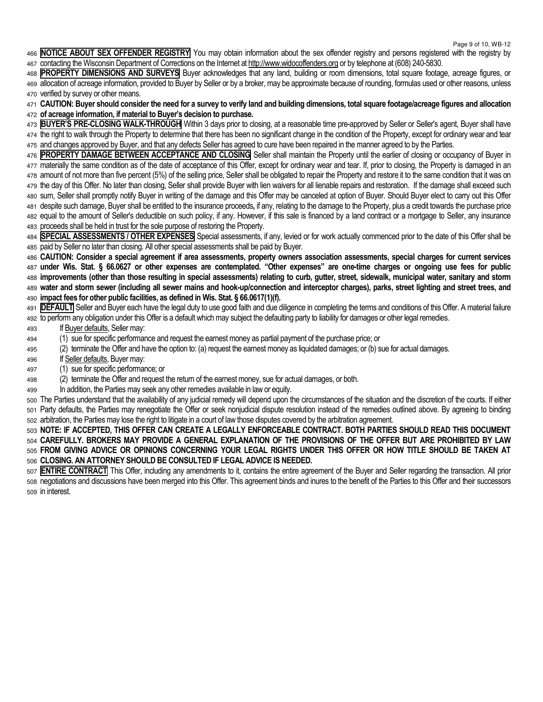**NOTICE ABOUT SEX OFFENDER REGISTRY** You may obtain information about the sex offender registry and persons registered with the registry by contacting the Wisconsin Department of Corrections on the Internet at http://www.widocoffenders.org or by telephone at (608) 240-5830.

 **PROPERTY DIMENSIONS AND SURVEYS** Buyer acknowledges that any land, building or room dimensions, total square footage, acreage figures, or allocation of acreage information, provided to Buyer by Seller or by a broker, may be approximate because of rounding, formulas used or other reasons, unless

 verified by survey or other means. **CAUTION: Buyer should consider the need for a survey to verify land and building dimensions, total square footage/acreage figures and allocation of acreage information, if material to Buyer's decision to purchase.** 

 **BUYER'S PRE-CLOSING WALK-THROUGH** Within 3 days prior to closing, at a reasonable time pre-approved by Seller or Seller's agent, Buyer shall have the right to walk through the Property to determine that there has been no significant change in the condition of the Property, except for ordinary wear and tear and changes approved by Buyer, and that any defects Seller has agreed to cure have been repaired in the manner agreed to by the Parties.

 **PROPERTY DAMAGE BETWEEN ACCEPTANCE AND CLOSING** Seller shall maintain the Property until the earlier of closing or occupancy of Buyer in 477 materially the same condition as of the date of acceptance of this Offer, except for ordinary wear and tear. If, prior to closing, the Property is damaged in an amount of not more than five percent (5%) of the selling price, Seller shall be obligated to repair the Property and restore it to the same condition that it was on 479 the day of this Offer. No later than closing, Seller shall provide Buyer with lien waivers for all lienable repairs and restoration. If the damage shall exceed such sum, Seller shall promptly notify Buyer in writing of the damage and this Offer may be canceled at option of Buyer. Should Buyer elect to carry out this Offer despite such damage, Buyer shall be entitled to the insurance proceeds**,** if any, relating to the damage to the Property, plus a credit towards the purchase price equal to the amount of Seller's deductible on such policy, if any. However, if this sale is financed by a land contract or a mortgage to Seller, any insurance proceeds shall be held in trust for the sole purpose of restoring the Property.

 **SPECIAL ASSESSMENTS / OTHER EXPENSES** Special assessments, if any, levied or for work actually commenced prior to the date of this Offer shall be paid by Seller no later than closing. All other special assessments shall be paid by Buyer.

 **CAUTION: Consider a special agreement if area assessments, property owners association assessments, special charges for current services under Wis. Stat. § 66.0627 or other expenses are contemplated. "Other expenses" are one-time charges or ongoing use fees for public improvements (other than those resulting in special assessments) relating to curb, gutter, street, sidewalk, municipal water, sanitary and storm water and storm sewer (including all sewer mains and hook-up/connection and interceptor charges), parks, street lighting and street trees, and impact fees for other public facilities, as defined in Wis. Stat. § 66.0617(1)(f).** 

**DEFAULT** Seller and Buyer each have the legal duty to use good faith and due diligence in completing the terms and conditions of this Offer. A material failure

 to perform any obligation under this Offer is a default which may subject the defaulting party to liability for damages or other legal remedies. If Buyer defaults, Seller may:

(1) sue for specific performance and request the earnest money as partial payment of the purchase price; or

(2) terminate the Offer and have the option to: (a) request the earnest money as liquidated damages; or (b) sue for actual damages.

If Seller defaults, Buyer may:

(1) sue for specific performance; or

(2) terminate the Offer and request the return of the earnest money, sue for actual damages, or both.

In addition, the Parties may seek any other remedies available in law or equity.

 The Parties understand that the availability of any judicial remedy will depend upon the circumstances of the situation and the discretion of the courts. If either Party defaults, the Parties may renegotiate the Offer or seek nonjudicial dispute resolution instead of the remedies outlined above. By agreeing to binding arbitration, the Parties may lose the right to litigate in a court of law those disputes covered by the arbitration agreement.

 **NOTE: IF ACCEPTED, THIS OFFER CAN CREATE A LEGALLY ENFORCEABLE CONTRACT. BOTH PARTIES SHOULD READ THIS DOCUMENT CAREFULLY. BROKERS MAY PROVIDE A GENERAL EXPLANATION OF THE PROVISIONS OF THE OFFER BUT ARE PROHIBITED BY LAW FROM GIVING ADVICE OR OPINIONS CONCERNING YOUR LEGAL RIGHTS UNDER THIS OFFER OR HOW TITLE SHOULD BE TAKEN AT CLOSING. AN ATTORNEY SHOULD BE CONSULTED IF LEGAL ADVICE IS NEEDED.** 

 **ENTIRE CONTRACT** This Offer, including any amendments to it, contains the entire agreement of the Buyer and Seller regarding the transaction. All prior negotiations and discussions have been merged into this Offer. This agreement binds and inures to the benefit of the Parties to this Offer and their successors in interest.